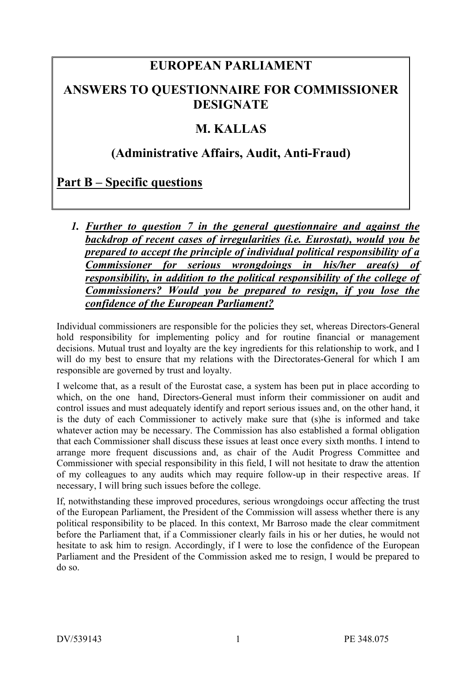## **EUROPEAN PARLIAMENT**

### **ANSWERS TO QUESTIONNAIRE FOR COMMISSIONER DESIGNATE**

### **M. KALLAS**

### **(Administrative Affairs, Audit, Anti-Fraud)**

# **Part B – Specific questions**

*1. Further to question 7 in the general questionnaire and against the backdrop of recent cases of irregularities (i.e. Eurostat), would you be prepared to accept the principle of individual political responsibility of a Commissioner for serious wrongdoings in his/her area(s) of responsibility, in addition to the political responsibility of the college of Commissioners? Would you be prepared to resign, if you lose the confidence of the European Parliament?*

Individual commissioners are responsible for the policies they set, whereas Directors-General hold responsibility for implementing policy and for routine financial or management decisions. Mutual trust and loyalty are the key ingredients for this relationship to work, and I will do my best to ensure that my relations with the Directorates-General for which I am responsible are governed by trust and loyalty.

I welcome that, as a result of the Eurostat case, a system has been put in place according to which, on the one hand, Directors-General must inform their commissioner on audit and control issues and must adequately identify and report serious issues and, on the other hand, it is the duty of each Commissioner to actively make sure that (s)he is informed and take whatever action may be necessary. The Commission has also established a formal obligation that each Commissioner shall discuss these issues at least once every sixth months. I intend to arrange more frequent discussions and, as chair of the Audit Progress Committee and Commissioner with special responsibility in this field, I will not hesitate to draw the attention of my colleagues to any audits which may require follow-up in their respective areas. If necessary, I will bring such issues before the college.

If, notwithstanding these improved procedures, serious wrongdoings occur affecting the trust of the European Parliament, the President of the Commission will assess whether there is any political responsibility to be placed. In this context, Mr Barroso made the clear commitment before the Parliament that, if a Commissioner clearly fails in his or her duties, he would not hesitate to ask him to resign. Accordingly, if I were to lose the confidence of the European Parliament and the President of the Commission asked me to resign, I would be prepared to do so.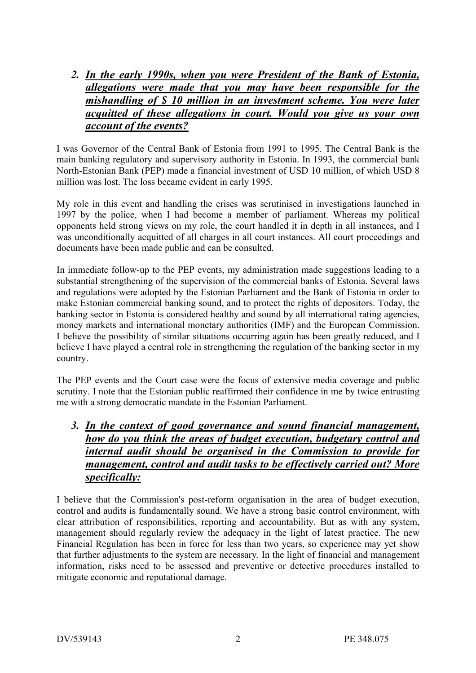*2. In the early 1990s, when you were President of the Bank of Estonia, allegations were made that you may have been responsible for the mishandling of \$ 10 million in an investment scheme. You were later acquitted of these allegations in court. Would you give us your own account of the events?*

I was Governor of the Central Bank of Estonia from 1991 to 1995. The Central Bank is the main banking regulatory and supervisory authority in Estonia. In 1993, the commercial bank North-Estonian Bank (PEP) made a financial investment of USD 10 million, of which USD 8 million was lost. The loss became evident in early 1995.

My role in this event and handling the crises was scrutinised in investigations launched in 1997 by the police, when I had become a member of parliament. Whereas my political opponents held strong views on my role, the court handled it in depth in all instances, and I was unconditionally acquitted of all charges in all court instances. All court proceedings and documents have been made public and can be consulted.

In immediate follow-up to the PEP events, my administration made suggestions leading to a substantial strengthening of the supervision of the commercial banks of Estonia. Several laws and regulations were adopted by the Estonian Parliament and the Bank of Estonia in order to make Estonian commercial banking sound, and to protect the rights of depositors. Today, the banking sector in Estonia is considered healthy and sound by all international rating agencies, money markets and international monetary authorities (IMF) and the European Commission. I believe the possibility of similar situations occurring again has been greatly reduced, and I believe I have played a central role in strengthening the regulation of the banking sector in my country.

The PEP events and the Court case were the focus of extensive media coverage and public scrutiny. I note that the Estonian public reaffirmed their confidence in me by twice entrusting me with a strong democratic mandate in the Estonian Parliament.

*3. In the context of good governance and sound financial management, how do you think the areas of budget execution, budgetary control and internal audit should be organised in the Commission to provide for management, control and audit tasks to be effectively carried out? More specifically:*

I believe that the Commission's post-reform organisation in the area of budget execution, control and audits is fundamentally sound. We have a strong basic control environment, with clear attribution of responsibilities, reporting and accountability. But as with any system, management should regularly review the adequacy in the light of latest practice. The new Financial Regulation has been in force for less than two years, so experience may yet show that further adjustments to the system are necessary. In the light of financial and management information, risks need to be assessed and preventive or detective procedures installed to mitigate economic and reputational damage.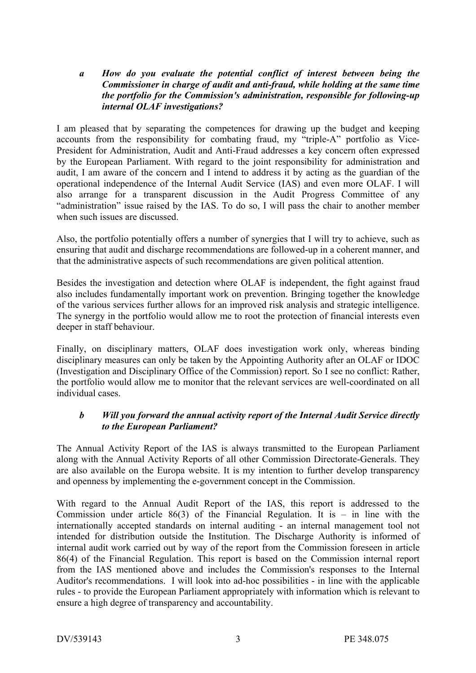#### *a How do you evaluate the potential conflict of interest between being the Commissioner in charge of audit and anti-fraud, while holding at the same time the portfolio for the Commission's administration, responsible for following-up internal OLAF investigations?*

I am pleased that by separating the competences for drawing up the budget and keeping accounts from the responsibility for combating fraud, my "triple-A" portfolio as Vice-President for Administration, Audit and Anti-Fraud addresses a key concern often expressed by the European Parliament. With regard to the joint responsibility for administration and audit, I am aware of the concern and I intend to address it by acting as the guardian of the operational independence of the Internal Audit Service (IAS) and even more OLAF. I will also arrange for a transparent discussion in the Audit Progress Committee of any "administration" issue raised by the IAS. To do so, I will pass the chair to another member when such issues are discussed.

Also, the portfolio potentially offers a number of synergies that I will try to achieve, such as ensuring that audit and discharge recommendations are followed-up in a coherent manner, and that the administrative aspects of such recommendations are given political attention.

Besides the investigation and detection where OLAF is independent, the fight against fraud also includes fundamentally important work on prevention. Bringing together the knowledge of the various services further allows for an improved risk analysis and strategic intelligence. The synergy in the portfolio would allow me to root the protection of financial interests even deeper in staff behaviour.

Finally, on disciplinary matters, OLAF does investigation work only, whereas binding disciplinary measures can only be taken by the Appointing Authority after an OLAF or IDOC (Investigation and Disciplinary Office of the Commission) report. So I see no conflict: Rather, the portfolio would allow me to monitor that the relevant services are well-coordinated on all individual cases.

#### *b Will you forward the annual activity report of the Internal Audit Service directly to the European Parliament?*

The Annual Activity Report of the IAS is always transmitted to the European Parliament along with the Annual Activity Reports of all other Commission Directorate-Generals. They are also available on the Europa website. It is my intention to further develop transparency and openness by implementing the e-government concept in the Commission.

With regard to the Annual Audit Report of the IAS, this report is addressed to the Commission under article  $86(3)$  of the Financial Regulation. It is – in line with the internationally accepted standards on internal auditing - an internal management tool not intended for distribution outside the Institution. The Discharge Authority is informed of internal audit work carried out by way of the report from the Commission foreseen in article 86(4) of the Financial Regulation. This report is based on the Commission internal report from the IAS mentioned above and includes the Commission's responses to the Internal Auditor's recommendations. I will look into ad-hoc possibilities - in line with the applicable rules - to provide the European Parliament appropriately with information which is relevant to ensure a high degree of transparency and accountability.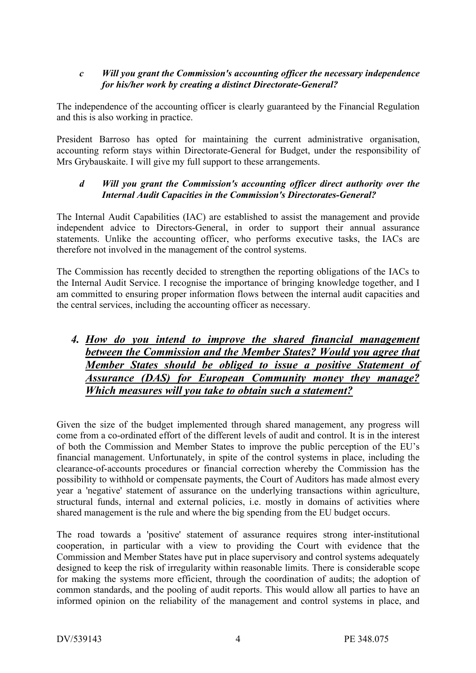#### *c Will you grant the Commission's accounting officer the necessary independence for his/her work by creating a distinct Directorate-General?*

The independence of the accounting officer is clearly guaranteed by the Financial Regulation and this is also working in practice.

President Barroso has opted for maintaining the current administrative organisation, accounting reform stays within Directorate-General for Budget, under the responsibility of Mrs Grybauskaite. I will give my full support to these arrangements.

#### *d Will you grant the Commission's accounting officer direct authority over the Internal Audit Capacities in the Commission's Directorates-General?*

The Internal Audit Capabilities (IAC) are established to assist the management and provide independent advice to Directors-General, in order to support their annual assurance statements. Unlike the accounting officer, who performs executive tasks, the IACs are therefore not involved in the management of the control systems.

The Commission has recently decided to strengthen the reporting obligations of the IACs to the Internal Audit Service. I recognise the importance of bringing knowledge together, and I am committed to ensuring proper information flows between the internal audit capacities and the central services, including the accounting officer as necessary.

### *4. How do you intend to improve the shared financial management between the Commission and the Member States? Would you agree that Member States should be obliged to issue a positive Statement of Assurance (DAS) for European Community money they manage? Which measures will you take to obtain such a statement?*

Given the size of the budget implemented through shared management, any progress will come from a co-ordinated effort of the different levels of audit and control. It is in the interest of both the Commission and Member States to improve the public perception of the EU's financial management. Unfortunately, in spite of the control systems in place, including the clearance-of-accounts procedures or financial correction whereby the Commission has the possibility to withhold or compensate payments, the Court of Auditors has made almost every year a 'negative' statement of assurance on the underlying transactions within agriculture, structural funds, internal and external policies, i.e. mostly in domains of activities where shared management is the rule and where the big spending from the EU budget occurs.

The road towards a 'positive' statement of assurance requires strong inter-institutional cooperation, in particular with a view to providing the Court with evidence that the Commission and Member States have put in place supervisory and control systems adequately designed to keep the risk of irregularity within reasonable limits. There is considerable scope for making the systems more efficient, through the coordination of audits; the adoption of common standards, and the pooling of audit reports. This would allow all parties to have an informed opinion on the reliability of the management and control systems in place, and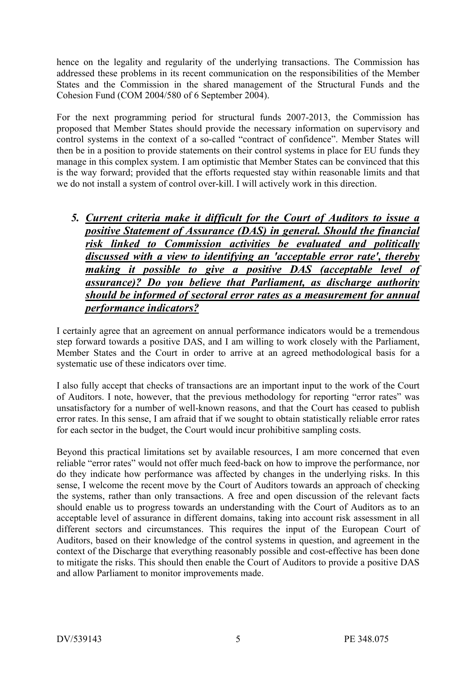hence on the legality and regularity of the underlying transactions. The Commission has addressed these problems in its recent communication on the responsibilities of the Member States and the Commission in the shared management of the Structural Funds and the Cohesion Fund (COM 2004/580 of 6 September 2004).

For the next programming period for structural funds 2007-2013, the Commission has proposed that Member States should provide the necessary information on supervisory and control systems in the context of a so-called "contract of confidence". Member States will then be in a position to provide statements on their control systems in place for EU funds they manage in this complex system. I am optimistic that Member States can be convinced that this is the way forward; provided that the efforts requested stay within reasonable limits and that we do not install a system of control over-kill. I will actively work in this direction.

*5. Current criteria make it difficult for the Court of Auditors to issue a positive Statement of Assurance (DAS) in general. Should the financial risk linked to Commission activities be evaluated and politically discussed with a view to identifying an 'acceptable error rate', thereby making it possible to give a positive DAS (acceptable level of assurance)? Do you believe that Parliament, as discharge authority should be informed of sectoral error rates as a measurement for annual performance indicators?*

I certainly agree that an agreement on annual performance indicators would be a tremendous step forward towards a positive DAS, and I am willing to work closely with the Parliament, Member States and the Court in order to arrive at an agreed methodological basis for a systematic use of these indicators over time.

I also fully accept that checks of transactions are an important input to the work of the Court of Auditors. I note, however, that the previous methodology for reporting "error rates" was unsatisfactory for a number of well-known reasons, and that the Court has ceased to publish error rates. In this sense, I am afraid that if we sought to obtain statistically reliable error rates for each sector in the budget, the Court would incur prohibitive sampling costs.

Beyond this practical limitations set by available resources, I am more concerned that even reliable "error rates" would not offer much feed-back on how to improve the performance, nor do they indicate how performance was affected by changes in the underlying risks. In this sense, I welcome the recent move by the Court of Auditors towards an approach of checking the systems, rather than only transactions. A free and open discussion of the relevant facts should enable us to progress towards an understanding with the Court of Auditors as to an acceptable level of assurance in different domains, taking into account risk assessment in all different sectors and circumstances. This requires the input of the European Court of Auditors, based on their knowledge of the control systems in question, and agreement in the context of the Discharge that everything reasonably possible and cost-effective has been done to mitigate the risks. This should then enable the Court of Auditors to provide a positive DAS and allow Parliament to monitor improvements made.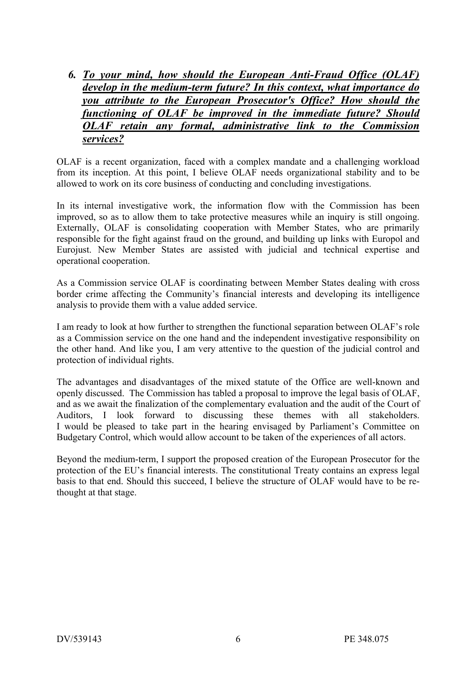*6. To your mind, how should the European Anti-Fraud Office (OLAF) develop in the medium-term future? In this context, what importance do you attribute to the European Prosecutor's Office? How should the functioning of OLAF be improved in the immediate future? Should OLAF retain any formal, administrative link to the Commission services?*

OLAF is a recent organization, faced with a complex mandate and a challenging workload from its inception. At this point, I believe OLAF needs organizational stability and to be allowed to work on its core business of conducting and concluding investigations.

In its internal investigative work, the information flow with the Commission has been improved, so as to allow them to take protective measures while an inquiry is still ongoing. Externally, OLAF is consolidating cooperation with Member States, who are primarily responsible for the fight against fraud on the ground, and building up links with Europol and Eurojust. New Member States are assisted with judicial and technical expertise and operational cooperation.

As a Commission service OLAF is coordinating between Member States dealing with cross border crime affecting the Community's financial interests and developing its intelligence analysis to provide them with a value added service.

I am ready to look at how further to strengthen the functional separation between OLAF's role as a Commission service on the one hand and the independent investigative responsibility on the other hand. And like you, I am very attentive to the question of the judicial control and protection of individual rights.

The advantages and disadvantages of the mixed statute of the Office are well-known and openly discussed. The Commission has tabled a proposal to improve the legal basis of OLAF, and as we await the finalization of the complementary evaluation and the audit of the Court of Auditors, I look forward to discussing these themes with all stakeholders. I would be pleased to take part in the hearing envisaged by Parliament's Committee on Budgetary Control, which would allow account to be taken of the experiences of all actors.

Beyond the medium-term, I support the proposed creation of the European Prosecutor for the protection of the EU's financial interests. The constitutional Treaty contains an express legal basis to that end. Should this succeed, I believe the structure of OLAF would have to be rethought at that stage.